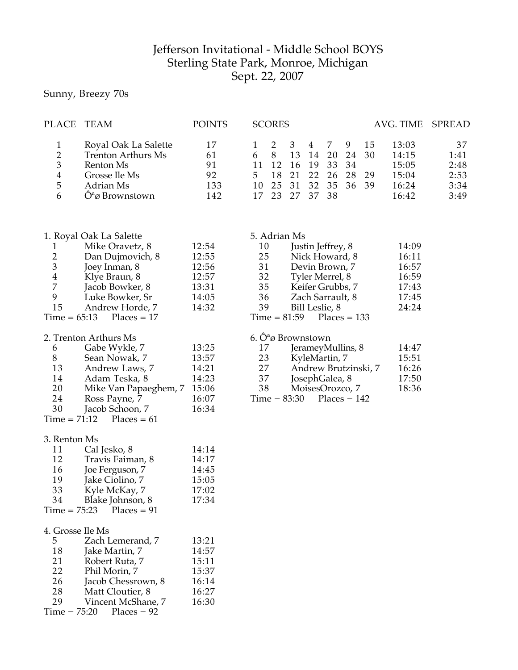## Jefferson Invitational - Middle School BOYS Sterling State Park, Monroe, Michigan Sept. 22, 2007

## Sunny, Breezy 70s

| PLACE TEAM            |                                                                                                                          | <b>POINTS</b>                      |           | <b>SCORES</b> |                                                                         |                                     |    |             |    | AVG. TIME SPREAD                                   |                                            |
|-----------------------|--------------------------------------------------------------------------------------------------------------------------|------------------------------------|-----------|---------------|-------------------------------------------------------------------------|-------------------------------------|----|-------------|----|----------------------------------------------------|--------------------------------------------|
| 2<br>3<br>4<br>5<br>6 | Royal Oak La Salette<br><b>Trenton Arthurs Ms</b><br>Renton Ms<br>Grosse Ile Ms<br>Adrian Ms<br>$\hat{O}^a$ ø Brownstown | 17<br>61<br>91<br>92<br>133<br>142 | 6 8<br>5. | 18            | 13<br>11 12 16 19 33 34<br>21<br>10 25 31 32 35 36 39<br>17 23 27 37 38 | $\overline{4}$<br>14<br>22 26 28 29 | 20 | -9<br>24 30 | 15 | 13:03<br>14:15<br>15:05<br>15:04<br>16:24<br>16:42 | 37<br>1:41<br>2:48<br>2:53<br>3:34<br>3:49 |
|                       |                                                                                                                          |                                    |           |               |                                                                         |                                     |    |             |    |                                                    |                                            |

|                | 1. Royal Oak La Salette    |       | 5. Adrian Ms |                             |       |
|----------------|----------------------------|-------|--------------|-----------------------------|-------|
|                | Mike Oravetz, 8            | 12:54 | 10           | Justin Jeffrey, 8           | 14:09 |
| 2              | Dan Dujmovich, 8           | 12:55 | 25           | Nick Howard, 8              | 16:11 |
| $\mathfrak{Z}$ | Joey Inman, 8              | 12:56 | 31           | Devin Brown, 7              | 16:57 |
| 4              | Klye Braun, 8              | 12:57 | 32           | Tyler Merrel, 8             | 16:59 |
| 7              | Jacob Bowker, 8            | 13:31 | 35           | Keifer Grubbs, 7            | 17:43 |
| 9              | Luke Bowker, Sr            | 14:05 | 36           | Zach Sarrault, 8            | 17:45 |
| 15             | Andrew Horde, 7            | 14:32 | 39           | Bill Leslie, 8              | 24:24 |
|                | $Time = 65:13$ Places = 17 |       |              | $Time = 81:59$ Places = 133 |       |

## 2. Trenton Arthurs Ms

| 6  | Gabe Wykle, 7                | 13:25 |
|----|------------------------------|-------|
| 8  | Sean Nowak, 7                | 13:57 |
| 13 | Andrew Laws, 7               | 14:21 |
| 14 | Adam Teska, 8                | 14:23 |
| 20 | Mike Van Papaeghem, 7        | 15:06 |
| 24 | Ross Payne, 7                | 16:07 |
| 30 | Jacob Schoon, 7              | 16:34 |
|    | $Time = 71:12$ $Places = 61$ |       |

| 35  |                   | Keifer Grubbs, 7            | 17:43 |
|-----|-------------------|-----------------------------|-------|
| 36  |                   | Zach Sarrault, 8            | 17:45 |
| 39  |                   | Bill Leslie, 8              | 24:24 |
|     |                   | $Time = 81:59$ Places = 133 |       |
|     | 6. Ôªø Brownstown |                             |       |
| 17  |                   | JerameyMullins, 8           | 14:47 |
| 23. |                   | KyleMartin 7                | 15:51 |

| 23 | KyleMartin, 7        | 15:51 |
|----|----------------------|-------|
| 27 | Andrew Brutzinski, 7 | 16:26 |
| 37 | JosephGalea, 8       | 17:50 |
| 38 | MoisesOrozco, 7      | 18:36 |

 $Time = 83:30$  Places = 142

| 3. Renton Ms |
|--------------|
|--------------|

| 11 | Cal Jesko, 8                    | 14:14 |
|----|---------------------------------|-------|
| 12 | Travis Faiman, 8                | 14:17 |
| 16 | Joe Ferguson, 7                 | 14:45 |
| 19 | Jake Ciolino, 7                 | 15:05 |
| 33 | Kyle McKay, 7                   | 17:02 |
| 34 | Blake Johnson, 8                | 17:34 |
|    | $Time = 75:23$<br>$Places = 91$ |       |

|    | 4. Grosse Ile Ms           |       |
|----|----------------------------|-------|
| 5. | Zach Lemerand, 7           | 13:21 |
| 18 | Jake Martin, 7             | 14:57 |
| 21 | Robert Ruta, 7             | 15:11 |
| 22 | Phil Morin, 7              | 15:37 |
| 26 | Jacob Chessrown, 8         | 16:14 |
| 28 | Matt Cloutier, 8           | 16:27 |
| 29 | Vincent McShane, 7         | 16:30 |
|    | $Time = 75:20$ Places = 92 |       |
|    |                            |       |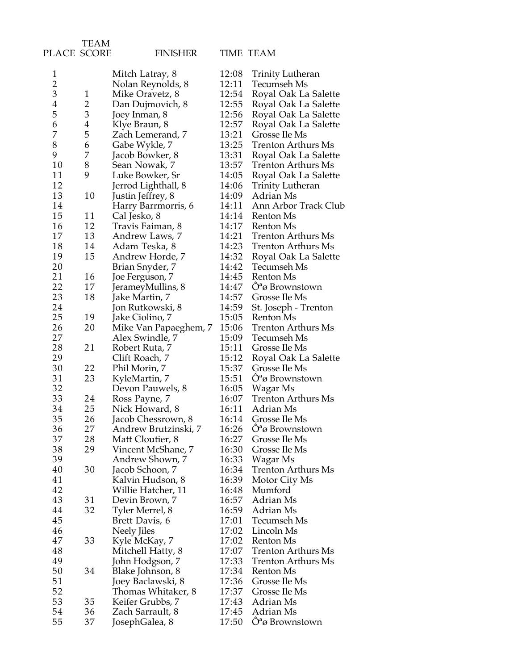| PLACE SCORE             |                | <b>FINISHER</b>                     |       | TIME TEAM                     |
|-------------------------|----------------|-------------------------------------|-------|-------------------------------|
| $\mathbf{1}$            |                | Mitch Latray, 8                     | 12:08 | <b>Trinity Lutheran</b>       |
| $\overline{\mathbf{c}}$ |                | Nolan Reynolds, 8                   | 12:11 | Tecumseh Ms                   |
| 3                       | $\mathbf{1}$   | Mike Oravetz, 8                     | 12:54 | Royal Oak La Salette          |
| $\overline{4}$          | $\overline{2}$ | Dan Dujmovich, 8                    | 12:55 | Royal Oak La Salette          |
| 5                       | 3              | Joey Inman, 8                       | 12:56 | Royal Oak La Salette          |
| 6                       | 4              | Klye Braun, 8                       | 12:57 | Royal Oak La Salette          |
| 7                       | 5              | Zach Lemerand, 7                    | 13:21 | Grosse Ile Ms                 |
| 8                       | 6              | Gabe Wykle, 7                       | 13:25 | <b>Trenton Arthurs Ms</b>     |
| 9                       | 7              | Jacob Bowker, 8                     | 13:31 | Royal Oak La Salette          |
| 10                      | 8              | Sean Nowak, 7                       | 13:57 | Trenton Arthurs Ms            |
| 11                      | 9              | Luke Bowker, Sr                     | 14:05 | Royal Oak La Salette          |
| 12                      |                | Jerrod Lighthall, 8                 | 14:06 | <b>Trinity Lutheran</b>       |
| 13                      | 10             | Justin Jeffrey, 8                   | 14:09 | Adrian Ms                     |
| 14                      |                |                                     | 14:11 | Ann Arbor Track Club          |
| 15                      | 11             | Harry Barrmorris, 6<br>Cal Jesko, 8 | 14:14 | Renton Ms                     |
|                         | 12             |                                     | 14:17 |                               |
| 16                      |                | Travis Faiman, 8                    |       | Renton Ms                     |
| 17                      | 13             | Andrew Laws, 7                      | 14:21 | <b>Trenton Arthurs Ms</b>     |
| 18                      | 14             | Adam Teska, 8                       | 14:23 | <b>Trenton Arthurs Ms</b>     |
| 19                      | 15             | Andrew Horde, 7                     | 14:32 | Royal Oak La Salette          |
| 20                      |                | Brian Snyder, 7                     | 14:42 | Tecumseh Ms                   |
| 21                      | 16             | Joe Ferguson, 7                     | 14:45 | Renton Ms                     |
| 22                      | 17             | JerameyMullins, 8                   | 14:47 | $\hat{O}^a \omega$ Brownstown |
| 23                      | 18             | Jake Martin, 7                      | 14:57 | Grosse Ile Ms                 |
| 24                      |                | Jon Rutkowski, 8                    | 14:59 | St. Joseph - Trenton          |
| 25                      | 19             | Jake Ciolino, 7                     | 15:05 | Renton Ms                     |
| 26                      | 20             | Mike Van Papaeghem, 7               | 15:06 | <b>Trenton Arthurs Ms</b>     |
| 27                      |                | Alex Swindle, 7                     | 15:09 | Tecumseh Ms                   |
| 28                      | 21             | Robert Ruta, 7                      | 15:11 | Grosse Ile Ms                 |
| 29                      |                | Clift Roach, 7                      | 15:12 | Royal Oak La Salette          |
| 30                      | 22             | Phil Morin, 7                       | 15:37 | Grosse Ile Ms                 |
| 31                      | 23             | KyleMartin, 7                       | 15:51 | $\hat{O}^a \omega$ Brownstown |
| 32                      |                | Devon Pauwels, 8                    | 16:05 | Wagar Ms                      |
| 33                      | 24             | Ross Payne, 7                       | 16:07 | <b>Trenton Arthurs Ms</b>     |
| 34                      | 25             | Nick Howard, 8                      | 16:11 | Adrian Ms                     |
| 35                      | 26             | Jacob Chessrown, 8                  | 16:14 | Grosse Ile Ms                 |
| 36                      | 27             | Andrew Brutzinski, 7                | 16:26 | $\hat{O}^a \omega$ Brownstown |
| 37                      | 28             | Matt Cloutier, 8                    | 16:27 | Grosse Ile Ms                 |
| 38                      | 29             | Vincent McShane, 7                  | 16:30 | Grosse Ile Ms                 |
| 39                      |                | Andrew Shown, 7                     | 16:33 | Wagar Ms                      |
| 40                      | 30             | Jacob Schoon, 7                     | 16:34 | <b>Trenton Arthurs Ms</b>     |
| 41                      |                | Kalvin Hudson, 8                    | 16:39 | Motor City Ms                 |
| 42                      |                | Willie Hatcher, 11                  | 16:48 | Mumford                       |
| 43                      | 31             | Devin Brown, 7                      | 16:57 | Adrian Ms                     |
| 44                      | 32             | Tyler Merrel, 8                     | 16:59 | Adrian Ms                     |
| 45                      |                | Brett Davis, 6                      | 17:01 | Tecumseh Ms                   |
| 46                      |                | Neely Jiles                         | 17:02 | Lincoln Ms                    |
| 47                      | 33             | Kyle McKay, 7                       | 17:02 | Renton Ms                     |
| 48                      |                | Mitchell Hatty, 8                   | 17:07 | <b>Trenton Arthurs Ms</b>     |
| 49                      |                | John Hodgson, 7                     | 17:33 | Trenton Arthurs Ms            |
| 50                      | 34             | Blake Johnson, 8                    | 17:34 | Renton Ms                     |
| 51                      |                | Joey Baclawski, 8                   | 17:36 | Grosse Ile Ms                 |
| 52                      |                | Thomas Whitaker, 8                  | 17:37 | Grosse Ile Ms                 |
| 53                      | 35             | Keifer Grubbs, 7                    | 17:43 | Adrian Ms                     |
| 54                      | 36             | Zach Sarrault, 8                    | 17:45 | Adrian Ms                     |
| 55                      | 37             | JosephGalea, 8                      | 17:50 | $\hat{O}^a$ ø Brownstown      |
|                         |                |                                     |       |                               |

TEAM